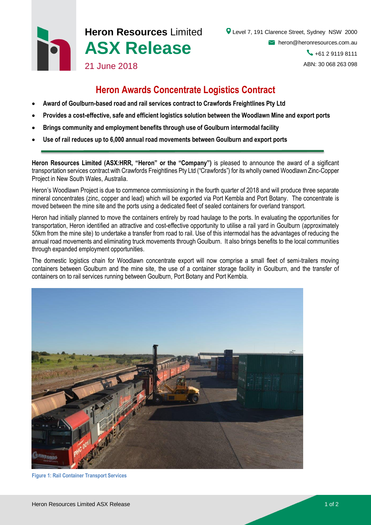# **Heron Resources** Limited **ASX Release** 21 June 2018

## **Heron Awards Concentrate Logistics Contract**

- **Award of Goulburn-based road and rail services contract to Crawfords Freightlines Pty Ltd**
- **Provides a cost-effective, safe and efficient logistics solution between the Woodlawn Mine and export ports**
- **Brings community and employment benefits through use of Goulburn intermodal facility**
- **Use of rail reduces up to 6,000 annual road movements between Goulburn and export ports**

**Heron Resources Limited (ASX:HRR, "Heron" or the "Company")** is pleased to announce the award of a sigificant transportation services contract with Crawfords Freightlines Pty Ltd ("Crawfords") for its wholly owned Woodlawn Zinc-Copper Project in New South Wales, Australia.

Heron's Woodlawn Project is due to commence commissioning in the fourth quarter of 2018 and will produce three separate mineral concentrates (zinc, copper and lead) which will be exported via Port Kembla and Port Botany. The concentrate is moved between the mine site and the ports using a dedicated fleet of sealed containers for overland transport.

Heron had initially planned to move the containers entirely by road haulage to the ports. In evaluating the opportunities for transportation, Heron identified an attractive and cost-effective opportunity to utilise a rail yard in Goulburn (approximately 50km from the mine site) to undertake a transfer from road to rail. Use of this intermodal has the advantages of reducing the annual road movements and eliminating truck movements through Goulburn. It also brings benefits to the local communities through expanded employment opportunities.

The domestic logistics chain for Woodlawn concentrate export will now comprise a small fleet of semi-trailers moving containers between Goulburn and the mine site, the use of a container storage facility in Goulburn, and the transfer of containers on to rail services running between Goulburn, Port Botany and Port Kembla.



**Figure 1: Rail Container Transport Services**